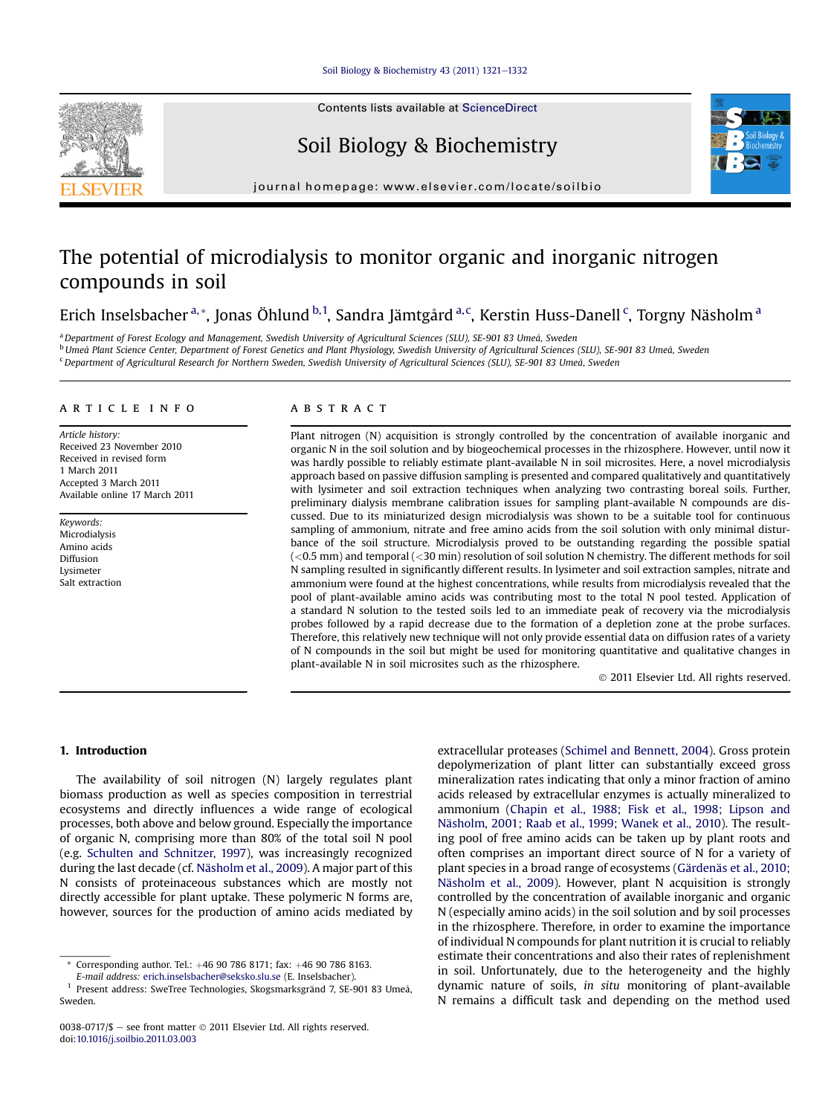#### [Soil Biology & Biochemistry 43 \(2011\) 1321](http://dx.doi.org/10.1016/j.soilbio.2011.03.003)-[1332](http://dx.doi.org/10.1016/j.soilbio.2011.03.003)



# Soil Biology & Biochemistry



journal homepage: [www.elsevier.com/locate/soilbio](http://www.elsevier.com/locate/soilbio)

# The potential of microdialysis to monitor organic and inorganic nitrogen compounds in soil

Erich Inselsbacher <sup>a, \*</sup>, Jonas Öhlund <sup>b, 1</sup>, Sandra Jämtgård <sup>a, c</sup>, Kerstin Huss-Danell <sup>c</sup>, Torgny Näsholm <sup>a</sup>

a Department of Forest Ecology and Management, Swedish University of Agricultural Sciences (SLU), SE-901 83 Umeå, Sweden

<sup>b</sup> Umeå Plant Science Center, Department of Forest Genetics and Plant Physiology, Swedish University of Agricultural Sciences (SLU), SE-901 83 Umeå, Sweden

<sup>c</sup> Department of Agricultural Research for Northern Sweden, Swedish University of Agricultural Sciences (SLU), SE-901 83 Umeå, Sweden

#### article info

Article history: Received 23 November 2010 Received in revised form 1 March 2011 Accepted 3 March 2011 Available online 17 March 2011

Keywords: Microdialysis Amino acids Diffusion Lysimeter Salt extraction

## **ABSTRACT**

Plant nitrogen (N) acquisition is strongly controlled by the concentration of available inorganic and organic N in the soil solution and by biogeochemical processes in the rhizosphere. However, until now it was hardly possible to reliably estimate plant-available N in soil microsites. Here, a novel microdialysis approach based on passive diffusion sampling is presented and compared qualitatively and quantitatively with lysimeter and soil extraction techniques when analyzing two contrasting boreal soils. Further, preliminary dialysis membrane calibration issues for sampling plant-available N compounds are discussed. Due to its miniaturized design microdialysis was shown to be a suitable tool for continuous sampling of ammonium, nitrate and free amino acids from the soil solution with only minimal disturbance of the soil structure. Microdialysis proved to be outstanding regarding the possible spatial  $( $0.5 \text{ mm}$ )$  and temporal  $( $30 \text{ min}$ )$  resolution of soil solution N chemistry. The different methods for soil N sampling resulted in significantly different results. In lysimeter and soil extraction samples, nitrate and ammonium were found at the highest concentrations, while results from microdialysis revealed that the pool of plant-available amino acids was contributing most to the total N pool tested. Application of a standard N solution to the tested soils led to an immediate peak of recovery via the microdialysis probes followed by a rapid decrease due to the formation of a depletion zone at the probe surfaces. Therefore, this relatively new technique will not only provide essential data on diffusion rates of a variety of N compounds in the soil but might be used for monitoring quantitative and qualitative changes in plant-available N in soil microsites such as the rhizosphere.

2011 Elsevier Ltd. All rights reserved.

# 1. Introduction

The availability of soil nitrogen (N) largely regulates plant biomass production as well as species composition in terrestrial ecosystems and directly influences a wide range of ecological processes, both above and below ground. Especially the importance of organic N, comprising more than 80% of the total soil N pool (e.g. [Schulten and Schnitzer, 1997](#page-11-0)), was increasingly recognized during the last decade (cf. [Näsholm et al., 2009\)](#page-10-0). A major part of this N consists of proteinaceous substances which are mostly not directly accessible for plant uptake. These polymeric N forms are, however, sources for the production of amino acids mediated by

extracellular proteases [\(Schimel and Bennett, 2004](#page-11-0)). Gross protein depolymerization of plant litter can substantially exceed gross mineralization rates indicating that only a minor fraction of amino acids released by extracellular enzymes is actually mineralized to ammonium [\(Chapin et al., 1988; Fisk et al., 1998; Lipson and](#page-10-0) [Näsholm, 2001; Raab et al., 1999; Wanek et al., 2010](#page-10-0)). The resulting pool of free amino acids can be taken up by plant roots and often comprises an important direct source of N for a variety of plant species in a broad range of ecosystems [\(Gärdenäs et al., 2010;](#page-10-0) [Näsholm et al., 2009](#page-10-0)). However, plant N acquisition is strongly controlled by the concentration of available inorganic and organic N (especially amino acids) in the soil solution and by soil processes in the rhizosphere. Therefore, in order to examine the importance of individual N compounds for plant nutrition it is crucial to reliably estimate their concentrations and also their rates of replenishment in soil. Unfortunately, due to the heterogeneity and the highly dynamic nature of soils, in situ monitoring of plant-available N remains a difficult task and depending on the method used



Corresponding author. Tel.: +46 90 786 8171; fax: +46 90 786 8163.

E-mail address: [erich.inselsbacher@seksko.slu.se](mailto:erich.inselsbacher@seksko.slu.se) (E. Inselsbacher).

<sup>1</sup> Present address: SweTree Technologies, Skogsmarksgränd 7, SE-901 83 Umeå, Sweden.

<sup>0038-0717/\$ -</sup> see front matter  $\odot$  2011 Elsevier Ltd. All rights reserved. doi[:10.1016/j.soilbio.2011.03.003](http://dx.doi.org/10.1016/j.soilbio.2011.03.003)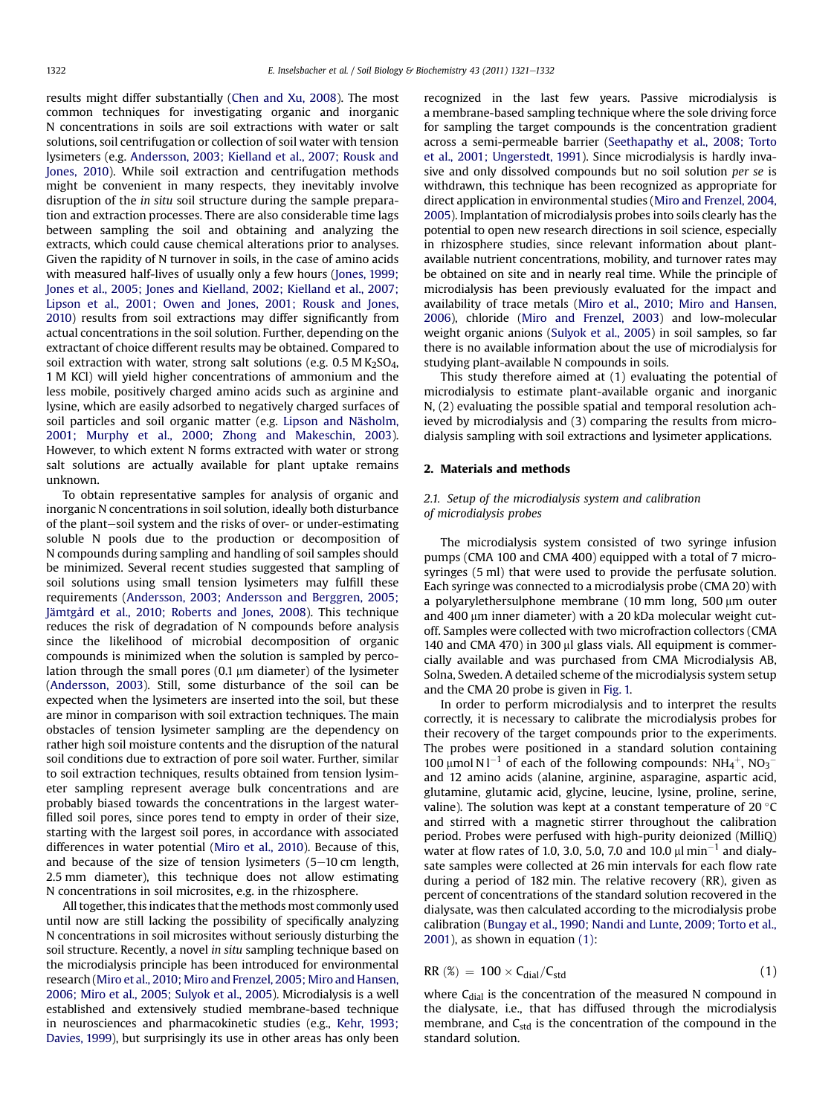results might differ substantially [\(Chen and Xu, 2008\)](#page-10-0). The most common techniques for investigating organic and inorganic N concentrations in soils are soil extractions with water or salt solutions, soil centrifugation or collection of soil water with tension lysimeters (e.g. [Andersson, 2003; Kielland et al., 2007; Rousk and](#page-10-0) [Jones, 2010](#page-10-0)). While soil extraction and centrifugation methods might be convenient in many respects, they inevitably involve disruption of the in situ soil structure during the sample preparation and extraction processes. There are also considerable time lags between sampling the soil and obtaining and analyzing the extracts, which could cause chemical alterations prior to analyses. Given the rapidity of N turnover in soils, in the case of amino acids with measured half-lives of usually only a few hours ([Jones, 1999;](#page-10-0) [Jones et al., 2005; Jones and Kielland, 2002; Kielland et al., 2007;](#page-10-0) [Lipson et al., 2001; Owen and Jones, 2001; Rousk and Jones,](#page-10-0) [2010](#page-10-0)) results from soil extractions may differ significantly from actual concentrations in the soil solution. Further, depending on the extractant of choice different results may be obtained. Compared to soil extraction with water, strong salt solutions (e.g.  $0.5 M K<sub>2</sub>SO<sub>4</sub>$ , 1 M KCl) will yield higher concentrations of ammonium and the less mobile, positively charged amino acids such as arginine and lysine, which are easily adsorbed to negatively charged surfaces of soil particles and soil organic matter (e.g. [Lipson and Näsholm,](#page-10-0) [2001; Murphy et al., 2000; Zhong and Makeschin, 2003\)](#page-10-0). However, to which extent N forms extracted with water or strong salt solutions are actually available for plant uptake remains unknown.

To obtain representative samples for analysis of organic and inorganic N concentrations in soil solution, ideally both disturbance of the plant-soil system and the risks of over- or under-estimating soluble N pools due to the production or decomposition of N compounds during sampling and handling of soil samples should be minimized. Several recent studies suggested that sampling of soil solutions using small tension lysimeters may fulfill these requirements [\(Andersson, 2003; Andersson and Berggren, 2005;](#page-10-0) [Jämtgård et al., 2010; Roberts and Jones, 2008\)](#page-10-0). This technique reduces the risk of degradation of N compounds before analysis since the likelihood of microbial decomposition of organic compounds is minimized when the solution is sampled by percolation through the small pores  $(0.1 \mu m)$  diameter) of the lysimeter ([Andersson, 2003\)](#page-10-0). Still, some disturbance of the soil can be expected when the lysimeters are inserted into the soil, but these are minor in comparison with soil extraction techniques. The main obstacles of tension lysimeter sampling are the dependency on rather high soil moisture contents and the disruption of the natural soil conditions due to extraction of pore soil water. Further, similar to soil extraction techniques, results obtained from tension lysimeter sampling represent average bulk concentrations and are probably biased towards the concentrations in the largest waterfilled soil pores, since pores tend to empty in order of their size, starting with the largest soil pores, in accordance with associated differences in water potential ([Miro et al., 2010\)](#page-10-0). Because of this, and because of the size of tension lysimeters  $(5-10 \text{ cm } \log t)$ , 2.5 mm diameter), this technique does not allow estimating N concentrations in soil microsites, e.g. in the rhizosphere.

All together, this indicates that the methods most commonly used until now are still lacking the possibility of specifically analyzing N concentrations in soil microsites without seriously disturbing the soil structure. Recently, a novel in situ sampling technique based on the microdialysis principle has been introduced for environmental research ([Miro et al., 2010; Miro and Frenzel, 2005; Miro and Hansen,](#page-10-0) [2006; Miro et al., 2005; Sulyok et al., 2005\)](#page-10-0). Microdialysis is a well established and extensively studied membrane-based technique in neurosciences and pharmacokinetic studies (e.g., [Kehr, 1993;](#page-10-0) [Davies, 1999](#page-10-0)), but surprisingly its use in other areas has only been recognized in the last few years. Passive microdialysis is a membrane-based sampling technique where the sole driving force for sampling the target compounds is the concentration gradient across a semi-permeable barrier [\(Seethapathy et al., 2008; Torto](#page-11-0) [et al., 2001; Ungerstedt, 1991](#page-11-0)). Since microdialysis is hardly invasive and only dissolved compounds but no soil solution per se is withdrawn, this technique has been recognized as appropriate for direct application in environmental studies ([Miro and Frenzel, 2004,](#page-10-0) [2005\)](#page-10-0). Implantation of microdialysis probes into soils clearly has the potential to open new research directions in soil science, especially in rhizosphere studies, since relevant information about plantavailable nutrient concentrations, mobility, and turnover rates may be obtained on site and in nearly real time. While the principle of microdialysis has been previously evaluated for the impact and availability of trace metals ([Miro et al., 2010; Miro and Hansen,](#page-10-0) [2006\)](#page-10-0), chloride [\(Miro and Frenzel, 2003](#page-10-0)) and low-molecular weight organic anions [\(Sulyok et al., 2005](#page-11-0)) in soil samples, so far there is no available information about the use of microdialysis for studying plant-available N compounds in soils.

This study therefore aimed at (1) evaluating the potential of microdialysis to estimate plant-available organic and inorganic N, (2) evaluating the possible spatial and temporal resolution achieved by microdialysis and (3) comparing the results from microdialysis sampling with soil extractions and lysimeter applications.

## 2. Materials and methods

## 2.1. Setup of the microdialysis system and calibration of microdialysis probes

The microdialysis system consisted of two syringe infusion pumps (CMA 100 and CMA 400) equipped with a total of 7 microsyringes (5 ml) that were used to provide the perfusate solution. Each syringe was connected to a microdialysis probe (CMA 20) with a polyarylethersulphone membrane  $(10 \text{ mm}$  long,  $500 \text{ }\mu\text{m}$  outer and 400 µm inner diameter) with a 20 kDa molecular weight cutoff. Samples were collected with two microfraction collectors (CMA 140 and CMA 470) in 300  $\mu$ l glass vials. All equipment is commercially available and was purchased from CMA Microdialysis AB, Solna, Sweden. A detailed scheme of the microdialysis system setup and the CMA 20 probe is given in [Fig. 1.](#page-2-0)

In order to perform microdialysis and to interpret the results correctly, it is necessary to calibrate the microdialysis probes for their recovery of the target compounds prior to the experiments. The probes were positioned in a standard solution containing 100  $\mu$ mol N l<sup>-1</sup> of each of the following compounds: NH<sub>4</sub><sup>+</sup>, NO<sub>3</sub><sup>-</sup> and 12 amino acids (alanine, arginine, asparagine, aspartic acid, glutamine, glutamic acid, glycine, leucine, lysine, proline, serine, valine). The solution was kept at a constant temperature of  $20^{\circ}$ C and stirred with a magnetic stirrer throughout the calibration period. Probes were perfused with high-purity deionized (MilliQ) water at flow rates of 1.0, 3.0, 5.0, 7.0 and 10.0  $\mu$ l min<sup>-1</sup> and dialysate samples were collected at 26 min intervals for each flow rate during a period of 182 min. The relative recovery (RR), given as percent of concentrations of the standard solution recovered in the dialysate, was then calculated according to the microdialysis probe calibration [\(Bungay et al., 1990; Nandi and Lunte, 2009; Torto et al.,](#page-10-0) [2001\)](#page-10-0), as shown in equation (1):

$$
RR\left(\mathscr{E}\right) = 100 \times C_{dial}/C_{std} \tag{1}
$$

where C<sub>dial</sub> is the concentration of the measured N compound in the dialysate, i.e., that has diffused through the microdialysis membrane, and  $C_{std}$  is the concentration of the compound in the standard solution.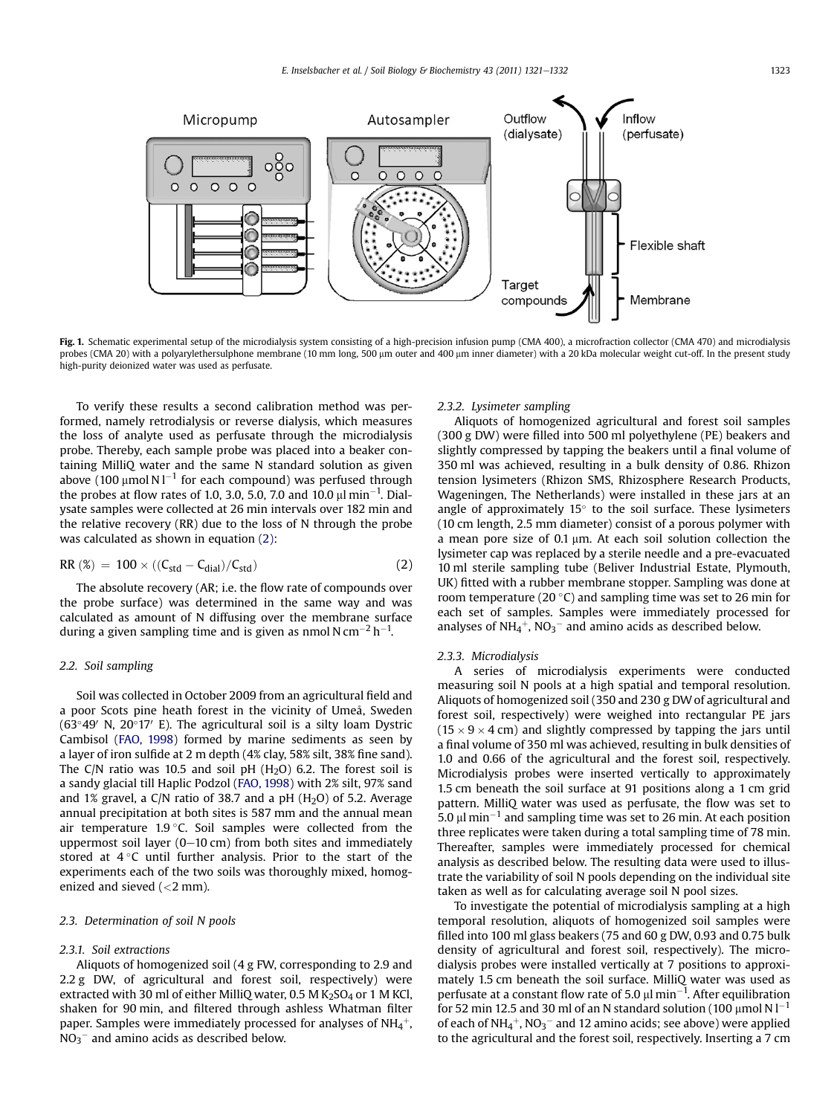<span id="page-2-0"></span>

Fig. 1. Schematic experimental setup of the microdialysis system consisting of a high-precision infusion pump (CMA 400), a microfraction collector (CMA 470) and microdialysis probes (CMA 20) with a polyarylethersulphone membrane (10 mm long, 500 µm outer and 400 µm inner diameter) with a 20 kDa molecular weight cut-off. In the present study high-purity deionized water was used as perfusate.

To verify these results a second calibration method was performed, namely retrodialysis or reverse dialysis, which measures the loss of analyte used as perfusate through the microdialysis probe. Thereby, each sample probe was placed into a beaker containing MilliQ water and the same N standard solution as given above (100  $\mu$ mol N l $^{-1}$  for each compound) was perfused through the probes at flow rates of 1.0, 3.0, 5.0, 7.0 and 10.0  $\mu$ l min<sup>-1</sup>. Dialysate samples were collected at 26 min intervals over 182 min and the relative recovery (RR) due to the loss of N through the probe was calculated as shown in equation (2):

$$
RR\left(\%\right) = 100 \times ((C_{std} - C_{dial})/C_{std})\tag{2}
$$

The absolute recovery (AR; i.e. the flow rate of compounds over the probe surface) was determined in the same way and was calculated as amount of N diffusing over the membrane surface during a given sampling time and is given as nmol N cm $^{-2}$  h $^{-1}$ .

## 2.2. Soil sampling

Soil was collected in October 2009 from an agricultural field and a poor Scots pine heath forest in the vicinity of Umeå, Sweden ( $63^{\circ}49'$  N,  $20^{\circ}17'$  E). The agricultural soil is a silty loam Dystric Cambisol [\(FAO, 1998](#page-10-0)) formed by marine sediments as seen by a layer of iron sulfide at 2 m depth (4% clay, 58% silt, 38% fine sand). The C/N ratio was 10.5 and soil pH  $(H<sub>2</sub>O)$  6.2. The forest soil is a sandy glacial till Haplic Podzol [\(FAO, 1998](#page-10-0)) with 2% silt, 97% sand and 1% gravel, a C/N ratio of 38.7 and a pH  $(H<sub>2</sub>O)$  of 5.2. Average annual precipitation at both sites is 587 mm and the annual mean air temperature  $1.9 \degree C$ . Soil samples were collected from the uppermost soil layer  $(0-10 \text{ cm})$  from both sites and immediately stored at  $4^{\circ}$ C until further analysis. Prior to the start of the experiments each of the two soils was thoroughly mixed, homogenized and sieved  $\left($  <2 mm).

## 2.3. Determination of soil N pools

#### 2.3.1. Soil extractions

Aliquots of homogenized soil (4 g FW, corresponding to 2.9 and 2.2 g DW, of agricultural and forest soil, respectively) were extracted with 30 ml of either MilliQ water, 0.5 M  $K<sub>2</sub>SO<sub>4</sub>$  or 1 M KCl, shaken for 90 min, and filtered through ashless Whatman filter paper. Samples were immediately processed for analyses of NH $_4^+$ ,  $\rm NO_3^-$  and amino acids as described below.

#### 2.3.2. Lysimeter sampling

Aliquots of homogenized agricultural and forest soil samples (300 g DW) were filled into 500 ml polyethylene (PE) beakers and slightly compressed by tapping the beakers until a final volume of 350 ml was achieved, resulting in a bulk density of 0.86. Rhizon tension lysimeters (Rhizon SMS, Rhizosphere Research Products, Wageningen, The Netherlands) were installed in these jars at an angle of approximately  $15^\circ$  to the soil surface. These lysimeters (10 cm length, 2.5 mm diameter) consist of a porous polymer with a mean pore size of  $0.1 \mu m$ . At each soil solution collection the lysimeter cap was replaced by a sterile needle and a pre-evacuated 10 ml sterile sampling tube (Beliver Industrial Estate, Plymouth, UK) fitted with a rubber membrane stopper. Sampling was done at room temperature (20 $\degree$ C) and sampling time was set to 26 min for each set of samples. Samples were immediately processed for analyses of  $NH_4^+$ ,  $NO_3^-$  and amino acids as described below.

#### 2.3.3. Microdialysis

A series of microdialysis experiments were conducted measuring soil N pools at a high spatial and temporal resolution. Aliquots of homogenized soil (350 and 230 g DW of agricultural and forest soil, respectively) were weighed into rectangular PE jars  $(15 \times 9 \times 4$  cm) and slightly compressed by tapping the jars until a final volume of 350 ml was achieved, resulting in bulk densities of 1.0 and 0.66 of the agricultural and the forest soil, respectively. Microdialysis probes were inserted vertically to approximately 1.5 cm beneath the soil surface at 91 positions along a 1 cm grid pattern. MilliQ water was used as perfusate, the flow was set to 5.0  $\mu$ l min $^{-1}$  and sampling time was set to 26 min. At each position three replicates were taken during a total sampling time of 78 min. Thereafter, samples were immediately processed for chemical analysis as described below. The resulting data were used to illustrate the variability of soil N pools depending on the individual site taken as well as for calculating average soil N pool sizes.

To investigate the potential of microdialysis sampling at a high temporal resolution, aliquots of homogenized soil samples were filled into 100 ml glass beakers (75 and 60 g DW, 0.93 and 0.75 bulk density of agricultural and forest soil, respectively). The microdialysis probes were installed vertically at 7 positions to approximately 1.5 cm beneath the soil surface. MilliQ water was used as perfusate at a constant flow rate of 5.0  $\mu$ l min $^{-1}$ . After equilibration for 52 min 12.5 and 30 ml of an N standard solution (100  $\mu$ mol N l $^{-1}$ of each of NH $_4{}^+$ , NO $_3{}^-$  and 12 amino acids; see above) were applied to the agricultural and the forest soil, respectively. Inserting a 7 cm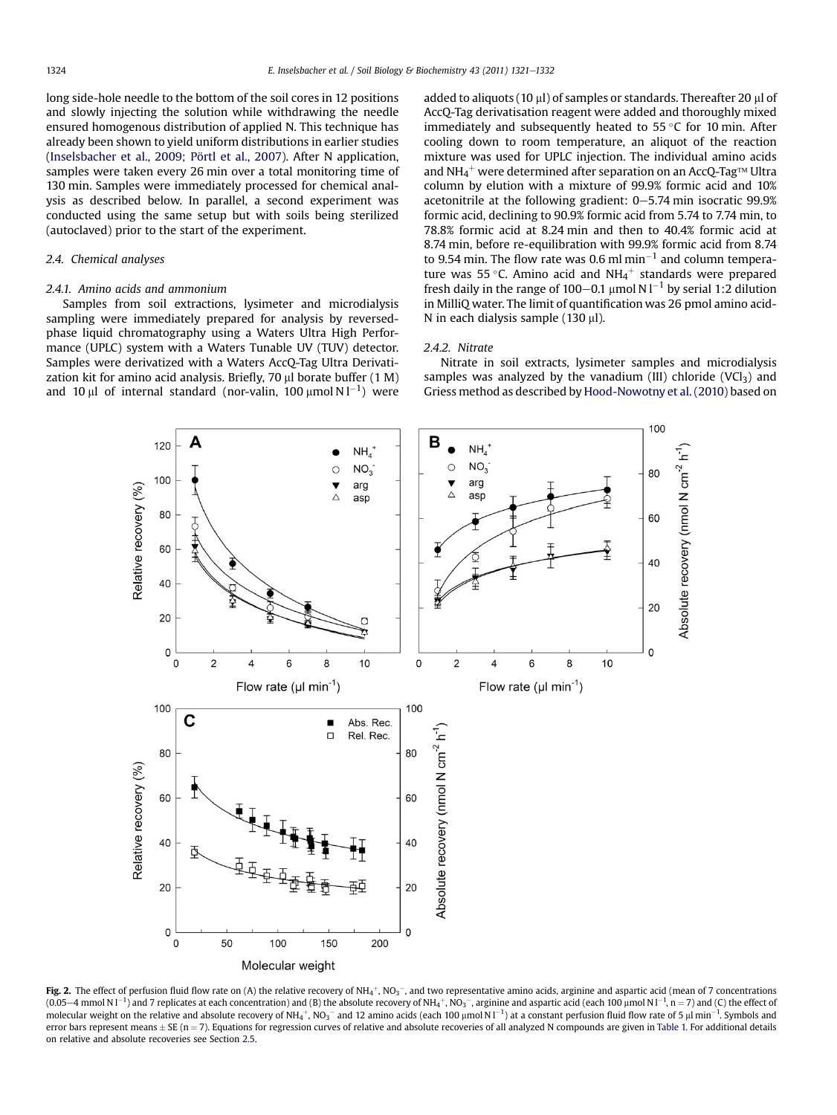<span id="page-3-0"></span>long side-hole needle to the bottom of the soil cores in 12 positions and slowly injecting the solution while withdrawing the needle ensured homogenous distribution of applied N. This technique has already been shown to yield uniform distributions in earlier studies ([Inselsbacher et al., 2009; Pörtl et al., 2007](#page-10-0)). After N application, samples were taken every 26 min over a total monitoring time of 130 min. Samples were immediately processed for chemical analysis as described below. In parallel, a second experiment was conducted using the same setup but with soils being sterilized (autoclaved) prior to the start of the experiment.

## 2.4. Chemical analyses

#### 2.4.1. Amino acids and ammonium

Samples from soil extractions, lysimeter and microdialysis sampling were immediately prepared for analysis by reversedphase liquid chromatography using a Waters Ultra High Performance (UPLC) system with a Waters Tunable UV (TUV) detector. Samples were derivatized with a Waters AccQ-Tag Ultra Derivatization kit for amino acid analysis. Briefly,  $70 \mu l$  borate buffer  $(1 M)$ and  $10 \mu$ l of internal standard (nor-valin,  $100 \mu$ mol $N1^{-1}$ ) were

added to aliquots (10 µl) of samples or standards. Thereafter 20 µl of AccQ-Tag derivatisation reagent were added and thoroughly mixed immediately and subsequently heated to  $55^{\circ}$ C for 10 min. After cooling down to room temperature, an aliquot of the reaction mixture was used for UPLC injection. The individual amino acids and NH $_4^+$  were determined after separation on an AccQ-Tag™ Ultra column by elution with a mixture of 99.9% formic acid and 10% acetonitrile at the following gradient:  $0-5.74$  min isocratic 99.9% formic acid, declining to 90.9% formic acid from 5.74 to 7.74 min, to 78.8% formic acid at 8.24 min and then to 40.4% formic acid at 8.74 min, before re-equilibration with 99.9% formic acid from 8.74 to 9.54 min. The flow rate was 0.6 ml min<sup>-1</sup> and column temperature was 55 °C. Amino acid and  $NH_4^+$  standards were prepared fresh daily in the range of 100–0.1  $\mu$ mol N l<sup>-1</sup> by serial 1:2 dilution in MilliQ water. The limit of quantification was 26 pmol amino acid-N in each dialysis sample  $(130 \mu l)$ .

## 2.4.2. Nitrate

Nitrate in soil extracts, lysimeter samples and microdialysis samples was analyzed by the vanadium (III) chloride (VCl<sub>3</sub>) and Griess method as described by [Hood-Nowotny et al. \(2010\)](#page-10-0) based on



**Fig. 2.** The effect of perfusion fluid flow rate on (A) the relative recovery of NH<sub>4</sub>+, NO<sub>3</sub>-, and two representative amino acids, arginine and aspartic acid (mean of 7 concentrations (0.05–4 mmol N l<sup>-1</sup>) and 7 replicates at each concentration) and (B) the absolute recovery of NH<sub>4</sub>+, NO<sub>3</sub><sup>-</sup>, arginine and aspartic acid (each 100 µmol N l<sup>-1</sup>, n = 7) and (C) the effect of molecular weight on the relative and absolute recovery of NH4 $^+$ , NO3 $^-$  and 12 amino acids (each 100  $\mu$ mol N l $^{-1}$ ) at a constant perfusion fluid flow rate of 5  $\mu$ l min $^{-1}$ . Symbols and error bars represent means  $\pm$  SE (n = 7). Equations for regression curves of relative and absolute recoveries of all analyzed N compounds are given in [Table 1.](#page-4-0) For additional details on relative and absolute recoveries see Section [2.5](#page-4-0).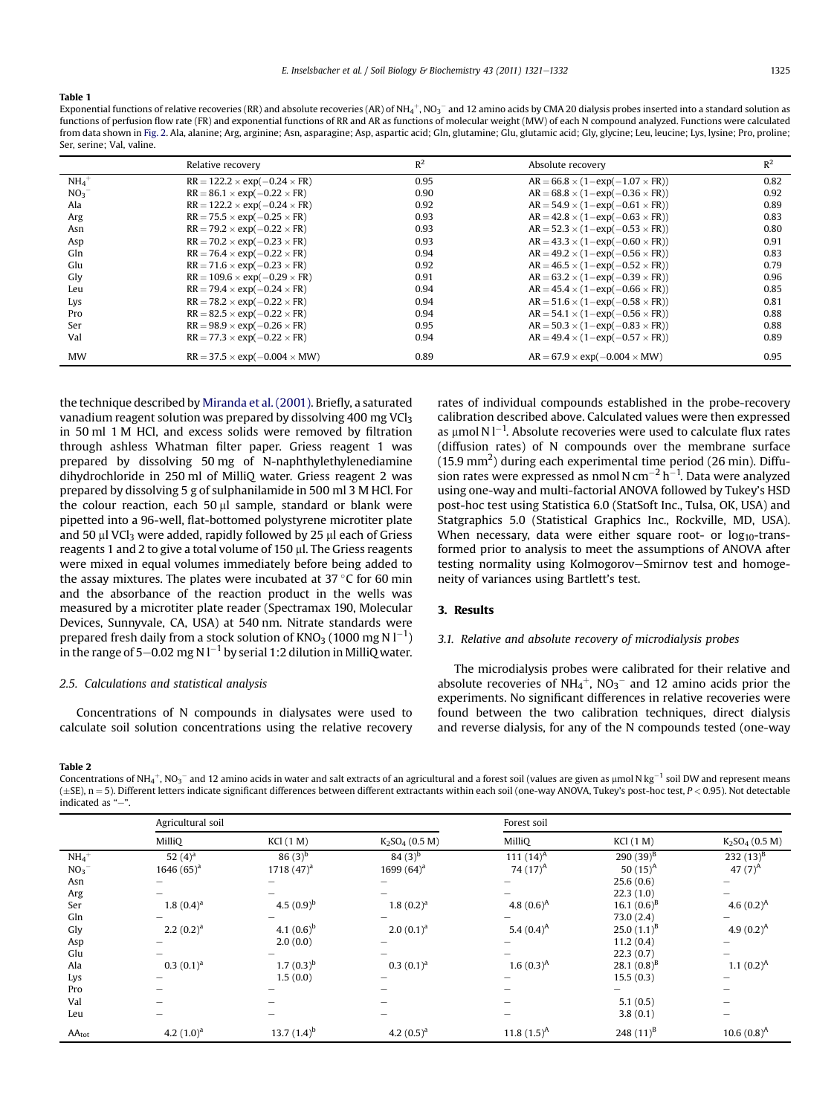#### <span id="page-4-0"></span>Table 1

Exponential functions of relative recoveries (RR) and absolute recoveries (AR) of NH<sub>4</sub>+, NO<sub>3</sub><sup>–</sup> and 12 amino acids by CMA 20 dialysis probes inserted into a standard solution as functions of perfusion flow rate (FR) and exponential functions of RR and AR as functions of molecular weight (MW) of each N compound analyzed. Functions were calculated from data shown in [Fig. 2](#page-3-0). Ala, alanine; Arg, arginine; Asn, asparagine; Asp, aspartic acid; Gln, glutamine; Glu, glutamic acid; Gly, glycine; Leu, leucine; Lys, lysine; Pro, proline; Ser, serine; Val, valine.

|                     | Relative recovery                        | $R^2$ | Absolute recovery                             | $R^2$ |
|---------------------|------------------------------------------|-------|-----------------------------------------------|-------|
| $NH_4$ <sup>+</sup> | $RR = 122.2 \times exp(-0.24 \times FR)$ | 0.95  | $AR = 66.8 \times (1 - exp(-1.07 \times FR))$ | 0.82  |
| NO <sub>3</sub>     | $RR = 86.1 \times exp(-0.22 \times FR)$  | 0.90  | $AR = 68.8 \times (1 - exp(-0.36 \times FR))$ | 0.92  |
| Ala                 | $RR = 122.2 \times exp(-0.24 \times FR)$ | 0.92  | $AR = 54.9 \times (1 - exp(-0.61 \times FR))$ | 0.89  |
| Arg                 | $RR = 75.5 \times exp(-0.25 \times FR)$  | 0.93  | $AR = 42.8 \times (1 - exp(-0.63 \times FR))$ | 0.83  |
| Asn                 | $RR = 79.2 \times exp(-0.22 \times FR)$  | 0.93  | $AR = 52.3 \times (1 - exp(-0.53 \times FR))$ | 0.80  |
| Asp                 | $RR = 70.2 \times exp(-0.23 \times FR)$  | 0.93  | $AR = 43.3 \times (1 - exp(-0.60 \times FR))$ | 0.91  |
| Gln                 | $RR = 76.4 \times exp(-0.22 \times FR)$  | 0.94  | $AR = 49.2 \times (1 - exp(-0.56 \times FR))$ | 0.83  |
| Glu                 | $RR = 71.6 \times exp(-0.23 \times FR)$  | 0.92  | $AR = 46.5 \times (1 - exp(-0.52 \times FR))$ | 0.79  |
| Gly                 | $RR = 109.6 \times exp(-0.29 \times FR)$ | 0.91  | $AR = 63.2 \times (1 - exp(-0.39 \times FR))$ | 0.96  |
| Leu                 | $RR = 79.4 \times exp(-0.24 \times FR)$  | 0.94  | $AR = 45.4 \times (1 - exp(-0.66 \times FR))$ | 0.85  |
| Lys                 | $RR = 78.2 \times exp(-0.22 \times FR)$  | 0.94  | $AR = 51.6 \times (1 - exp(-0.58 \times FR))$ | 0.81  |
| Pro                 | $RR = 82.5 \times exp(-0.22 \times FR)$  | 0.94  | $AR = 54.1 \times (1 - exp(-0.56 \times FR))$ | 0.88  |
| Ser                 | $RR = 98.9 \times exp(-0.26 \times FR)$  | 0.95  | $AR = 50.3 \times (1 - exp(-0.83 \times FR))$ | 0.88  |
| Val                 | $RR = 77.3 \times exp(-0.22 \times FR)$  | 0.94  | $AR = 49.4 \times (1 - exp(-0.57 \times FR))$ | 0.89  |
| <b>MW</b>           | $RR = 37.5 \times exp(-0.004 \times MW)$ | 0.89  | $AR = 67.9 \times exp(-0.004 \times MW)$      | 0.95  |

the technique described by [Miranda et al. \(2001\)](#page-10-0). Briefly, a saturated vanadium reagent solution was prepared by dissolving 400 mg VCl<sub>3</sub> in 50 ml 1 M HCl, and excess solids were removed by filtration through ashless Whatman filter paper. Griess reagent 1 was prepared by dissolving 50 mg of N-naphthylethylenediamine dihydrochloride in 250 ml of MilliQ water. Griess reagent 2 was prepared by dissolving 5 g of sulphanilamide in 500 ml 3 M HCl. For the colour reaction, each 50  $\mu$ l sample, standard or blank were pipetted into a 96-well, flat-bottomed polystyrene microtiter plate and 50  $\mu$ l VCl<sub>3</sub> were added, rapidly followed by 25  $\mu$ l each of Griess reagents 1 and 2 to give a total volume of 150 µl. The Griess reagents were mixed in equal volumes immediately before being added to the assay mixtures. The plates were incubated at  $37^{\circ}$ C for 60 min and the absorbance of the reaction product in the wells was measured by a microtiter plate reader (Spectramax 190, Molecular Devices, Sunnyvale, CA, USA) at 540 nm. Nitrate standards were prepared fresh daily from a stock solution of KNO3 (1000 mg N  $\rm l^{-1})$ in the range of 5–0.02 mg N l $^{-1}$  by serial 1:2 dilution in MilliQ water.

## 2.5. Calculations and statistical analysis

Concentrations of N compounds in dialysates were used to calculate soil solution concentrations using the relative recovery

Table 2

Concentrations of NH4 $^+$ , NO3 $^-$  and 12 amino acids in water and salt extracts of an agricultural and a forest soil (values are given as µmol N kg $^{-1}$  soil DW and represent means (±SE), n = 5). Different letters indicate significant differences between different extractants within each soil (one-way ANOVA, Tukey's post-hoc test, P < 0.95). Not detectable indicated as "-".

|                     | Agricultural soil |                  |                   | Forest soil   |                  |                                        |
|---------------------|-------------------|------------------|-------------------|---------------|------------------|----------------------------------------|
|                     | MilliQ            | KCl(1 M)         | $K_2SO_4$ (0.5 M) | MilliQ        | <b>KCl</b> (1 M) | K <sub>2</sub> SO <sub>4</sub> (0.5 M) |
| $NH_4$ <sup>+</sup> | 52 $(4)^a$        | $86(3)^{b}$      | $84(3)^{b}$       | 111 $(14)^A$  | $290(39)^{B}$    | 232 $(13)^{B}$                         |
| NO <sub>3</sub>     | 1646 $(65)^a$     | 1718 $(47)^a$    | 1699 $(64)^a$     | 74 $(17)^A$   | 50 $(15)^A$      | 47 $(7)^A$                             |
| Asn                 |                   |                  |                   |               | 25.6(0.6)        |                                        |
| Arg                 |                   |                  |                   |               | 22.3(1.0)        |                                        |
| Ser                 | $1.8(0.4)^a$      | 4.5 $(0.9)^{b}$  | $1.8(0.2)^a$      | 4.8 $(0.6)^A$ | 16.1 $(0.6)^{B}$ | 4.6 $(0.2)^A$                          |
| Gln                 |                   |                  |                   |               | 73.0(2.4)        |                                        |
| Gly                 | $2.2(0.2)^a$      | 4.1 $(0.6)^b$    | $2.0(0.1)^a$      | 5.4 $(0.4)^A$ | $25.0(1.1)^{B}$  | 4.9 $(0.2)^A$                          |
| Asp                 |                   | 2.0(0.0)         |                   |               | 11.2(0.4)        |                                        |
| Glu                 |                   |                  |                   |               | 22.3(0.7)        |                                        |
| Ala                 | $0.3(0.1)^{a}$    | $1.7(0.3)^{b}$   | $0.3(0.1)^{a}$    | $1.6(0.3)^A$  | 28.1 $(0.8)^{B}$ | $1.1 (0.2)^A$                          |
| Lys                 |                   | 1.5(0.0)         |                   |               | 15.5(0.3)        |                                        |
| Pro                 |                   |                  |                   |               |                  |                                        |
| Val                 |                   |                  |                   |               | 5.1(0.5)         | -                                      |
| Leu                 |                   |                  | -                 |               | 3.8(0.1)         | -                                      |
| $AA_{tot}$          | 4.2 $(1.0)^a$     | 13.7 $(1.4)^{b}$ | 4.2 $(0.5)^a$     | $11.8(1.5)^A$ | 248 $(11)^8$     | $10.6(0.8)^A$                          |

rates of individual compounds established in the probe-recovery calibration described above. Calculated values were then expressed as  $\mu$ mol N l<sup>-1</sup>. Absolute recoveries were used to calculate flux rates (diffusion rates) of N compounds over the membrane surface (15.9 mm<sup>2</sup>) during each experimental time period (26 min). Diffusion rates were expressed as nmol N cm $^{-2}$  h $^{-1}$ . Data were analyzed using one-way and multi-factorial ANOVA followed by Tukey's HSD post-hoc test using Statistica 6.0 (StatSoft Inc., Tulsa, OK, USA) and Statgraphics 5.0 (Statistical Graphics Inc., Rockville, MD, USA). When necessary, data were either square root- or  $log_{10}$ -transformed prior to analysis to meet the assumptions of ANOVA after testing normality using Kolmogorov–Smirnov test and homogeneity of variances using Bartlett's test.

## 3. Results

## 3.1. Relative and absolute recovery of microdialysis probes

The microdialysis probes were calibrated for their relative and absolute recoveries of  $NH_4^+$ ,  $NO_3^-$  and 12 amino acids prior the experiments. No significant differences in relative recoveries were found between the two calibration techniques, direct dialysis and reverse dialysis, for any of the N compounds tested (one-way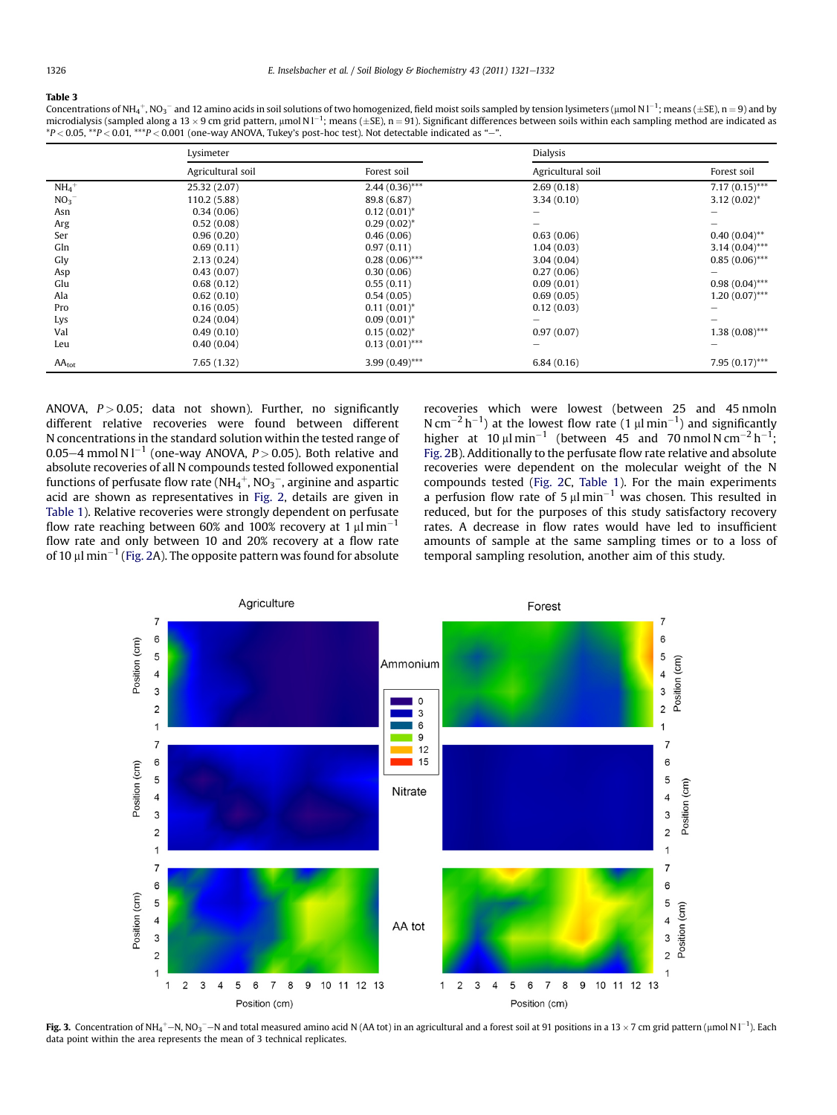#### <span id="page-5-0"></span>Table 3

Concentrations of NH4+, NO3- and 12 amino acids in soil solutions of two homogenized, field moist soils sampled by tension lysimeters (µmol N l<sup>-1</sup>; means (±SE), n = 9) and by microdialysis (sampled along a 13  $\times$  9 cm grid pattern, µmol N l<sup>-1</sup>; means ( $\pm$ SE), n = 91). Significant differences between soils within each sampling method are indicated as  $*P < 0.05$ ,  $*P < 0.01$ ,  $**P < 0.001$  (one-way ANOVA, Tukey's post-hoc test). Not detectable indicated as "-".

|                     | Lysimeter         |                  | <b>Dialysis</b>   |                  |  |
|---------------------|-------------------|------------------|-------------------|------------------|--|
|                     | Agricultural soil | Forest soil      | Agricultural soil | Forest soil      |  |
| $NH_4$ <sup>+</sup> | 25.32 (2.07)      | $2.44(0.36)$ *** | 2.69(0.18)        | $7.17(0.15)$ *** |  |
| NO <sub>3</sub>     | 110.2 (5.88)      | 89.8 (6.87)      | 3.34(0.10)        | $3.12(0.02)^{*}$ |  |
| Asn                 | 0.34(0.06)        | $0.12(0.01)^*$   |                   |                  |  |
| Arg                 | 0.52(0.08)        | $0.29(0.02)^{*}$ |                   |                  |  |
| Ser                 | 0.96(0.20)        | 0.46(0.06)       | 0.63(0.06)        | $0.40(0.04)$ **  |  |
| Gln                 | 0.69(0.11)        | 0.97(0.11)       | 1.04(0.03)        | $3.14(0.04)$ *** |  |
| Gly                 | 2.13(0.24)        | $0.28(0.06)$ *** | 3.04(0.04)        | $0.85(0.06)$ *** |  |
| Asp                 | 0.43(0.07)        | 0.30(0.06)       | 0.27(0.06)        |                  |  |
| Glu                 | 0.68(0.12)        | 0.55(0.11)       | 0.09(0.01)        | $0.98(0.04)$ *** |  |
| Ala                 | 0.62(0.10)        | 0.54(0.05)       | 0.69(0.05)        | $1.20(0.07)$ *** |  |
| Pro                 | 0.16(0.05)        | $0.11(0.01)^*$   | 0.12(0.03)        |                  |  |
| Lys                 | 0.24(0.04)        | $0.09(0.01)^*$   |                   |                  |  |
| Val                 | 0.49(0.10)        | $0.15(0.02)^{*}$ | 0.97(0.07)        | $1.38(0.08)$ *** |  |
| Leu                 | 0.40(0.04)        | $0.13(0.01)$ *** |                   |                  |  |
| $AA_{tot}$          | 7.65(1.32)        | $3.99(0.49)$ *** | 6.84(0.16)        | $7.95(0.17)$ *** |  |

ANOVA,  $P > 0.05$ ; data not shown). Further, no significantly different relative recoveries were found between different N concentrations in the standard solution within the tested range of 0.05–4 mmol N l $^{-1}$  (one-way ANOVA, P  $>$  0.05). Both relative and absolute recoveries of all N compounds tested followed exponential functions of perfusate flow rate (NH $_4^+$ , NO $_3^-$ , arginine and aspartic acid are shown as representatives in [Fig. 2](#page-3-0), details are given in [Table 1\)](#page-4-0). Relative recoveries were strongly dependent on perfusate flow rate reaching between 60% and 100% recovery at 1  $\mu$ l $\min^{-1}$ flow rate and only between 10 and 20% recovery at a flow rate of 10  $\mu$ l min $^{-1}$  [\(Fig. 2A](#page-3-0)). The opposite pattern was found for absolute

recoveries which were lowest (between 25 and 45 nmoln N cm<sup>-2</sup> h<sup>-1</sup>) at the lowest flow rate (1  $\mu$ l min<sup>-1</sup>) and significantly higher at  $10 \mu l \text{ min}^{-1}$  (between 45 and 70 nmol N cm<sup>-2</sup> h<sup>-1</sup>; [Fig. 2](#page-3-0)B). Additionally to the perfusate flow rate relative and absolute recoveries were dependent on the molecular weight of the N compounds tested ([Fig. 2C](#page-3-0), [Table 1](#page-4-0)). For the main experiments a perfusion flow rate of 5  $\mu$ l min<sup>-1</sup> was chosen. This resulted in reduced, but for the purposes of this study satisfactory recovery rates. A decrease in flow rates would have led to insufficient amounts of sample at the same sampling times or to a loss of temporal sampling resolution, another aim of this study.



**Fig. 3.** Concentration of NH<sub>4</sub>+–N, NO<sub>3</sub><sup>–</sup>–N and total measured amino acid N (AA tot) in an agricultural and a forest soil at 91 positions in a 13 × 7 cm grid pattern (µmol N l<sup>-1</sup>). Each data point within the area represents the mean of 3 technical replicates.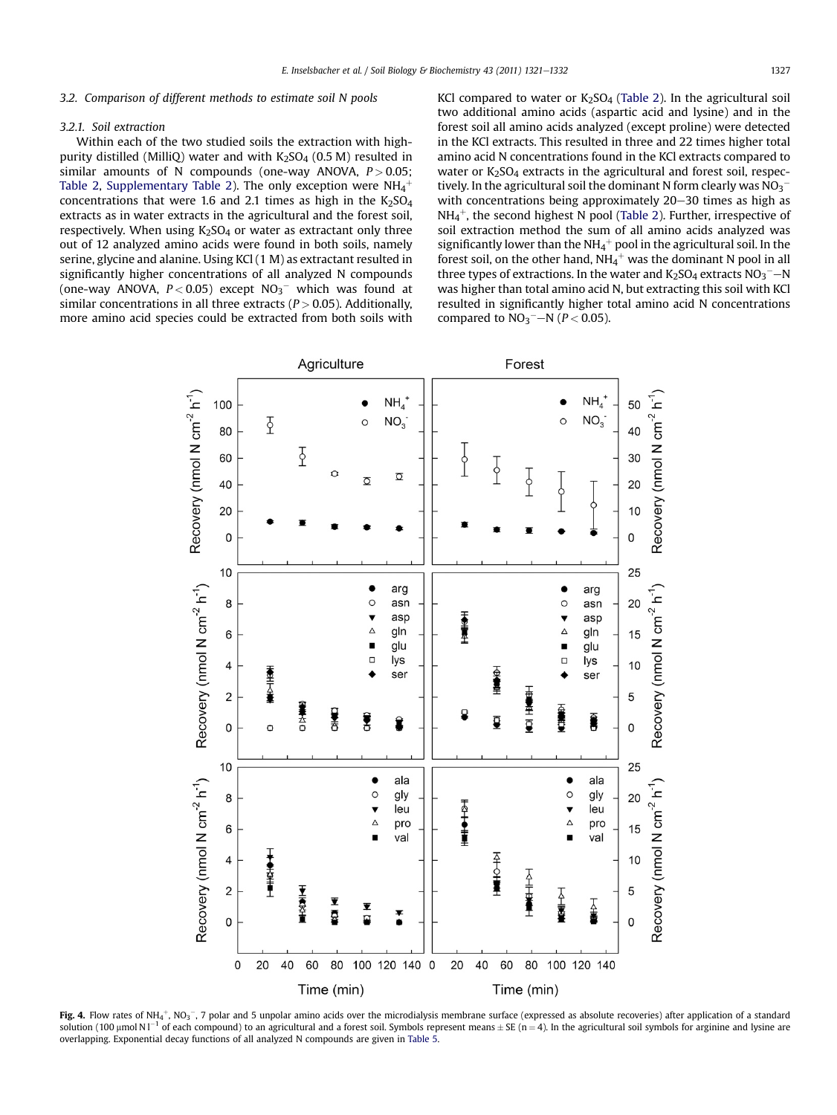### <span id="page-6-0"></span>3.2. Comparison of different methods to estimate soil N pools

#### 3.2.1. Soil extraction

Within each of the two studied soils the extraction with highpurity distilled (MilliQ) water and with  $K_2SO_4$  (0.5 M) resulted in similar amounts of N compounds (one-way ANOVA,  $P > 0.05$ ; [Table 2,](#page-4-0) Supplementary Table 2). The only exception were  $\mathrm{NH}_4^+$ concentrations that were 1.6 and 2.1 times as high in the  $K_2SO_4$ extracts as in water extracts in the agricultural and the forest soil, respectively. When using  $K_2$ SO<sub>4</sub> or water as extractant only three out of 12 analyzed amino acids were found in both soils, namely serine, glycine and alanine. Using KCl (1 M) as extractant resulted in significantly higher concentrations of all analyzed N compounds (one-way ANOVA,  $P < 0.05$ ) except  $NO_3$ <sup>-</sup> which was found at similar concentrations in all three extracts  $(P > 0.05)$ . Additionally, more amino acid species could be extracted from both soils with KCl compared to water or  $K_2SO_4$  ([Table 2](#page-4-0)). In the agricultural soil two additional amino acids (aspartic acid and lysine) and in the forest soil all amino acids analyzed (except proline) were detected in the KCl extracts. This resulted in three and 22 times higher total amino acid N concentrations found in the KCl extracts compared to water or  $K<sub>2</sub>SO<sub>4</sub>$  extracts in the agricultural and forest soil, respectively. In the agricultural soil the dominant N form clearly was  $\rm NO_3^$ with concentrations being approximately  $20-30$  times as high as  $NH_4^+$ , the second highest N pool ([Table 2\)](#page-4-0). Further, irrespective of soil extraction method the sum of all amino acids analyzed was significantly lower than the NH4 $^+$  pool in the agricultural soil. In the forest soil, on the other hand, NH $_4^+$  was the dominant N pool in all three types of extractions. In the water and  $\mathrm{K}_2\mathrm{SO}_4$  extracts  $\mathrm{NO_3}^{-}{\rm -N}$ was higher than total amino acid N, but extracting this soil with KCl resulted in significantly higher total amino acid N concentrations compared to  $NO_3$ <sup>-</sup> $-N$  ( $P < 0.05$ ).



**Fig. 4.** Flow rates of NH<sub>4</sub>+, NO<sub>3</sub>−, 7 polar and 5 unpolar amino acids over the microdialysis membrane surface (expressed as absolute recoveries) after application of a standard solution (100 µmol N l $^{-1}$  of each compound) to an agricultural and a forest soil. Symbols represent means  $\pm$  SE (n = 4). In the agricultural soil symbols for arginine and lysine are overlapping. Exponential decay functions of all analyzed N compounds are given in [Table 5](#page-8-0).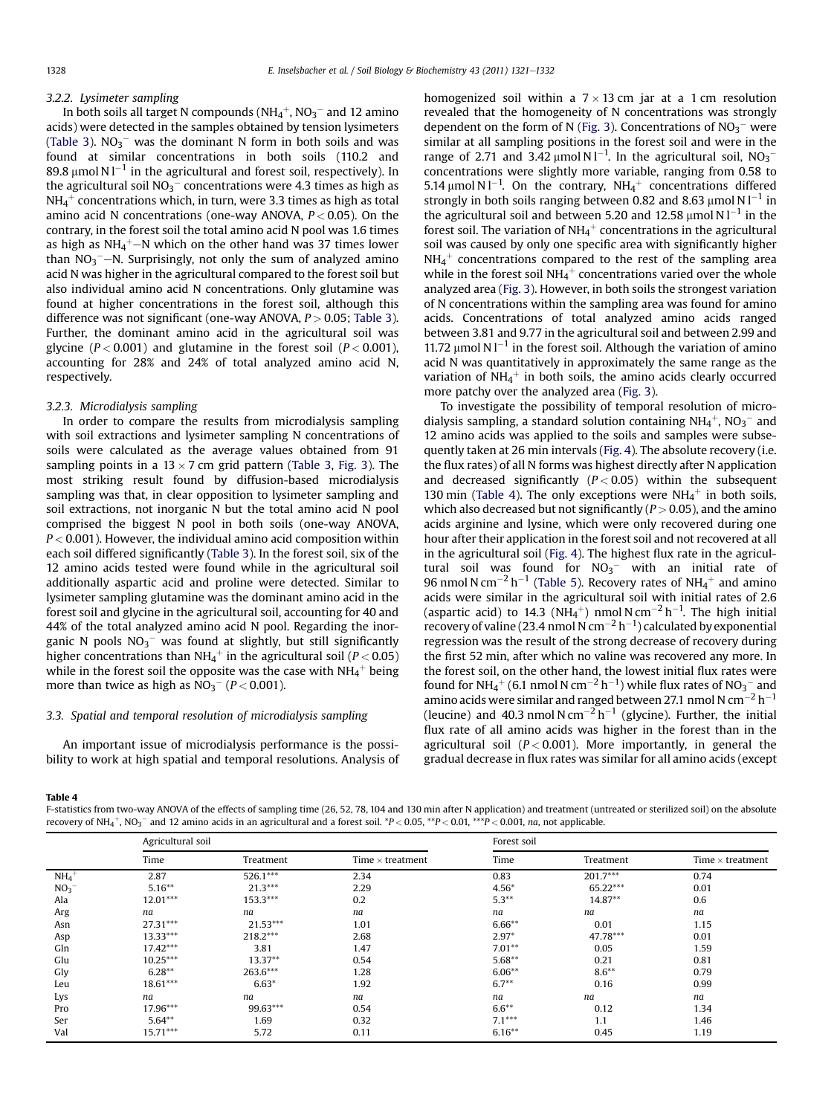#### <span id="page-7-0"></span>3.2.2. Lysimeter sampling

In both soils all target N compounds (NH $_4^+$ , NO $_3^-$  and 12 amino acids) were detected in the samples obtained by tension lysimeters ([Table 3\)](#page-5-0).  $NO_3^-$  was the dominant N form in both soils and was found at similar concentrations in both soils (110.2 and 89.8  $\mu$ mol N l $^{-1}$  in the agricultural and forest soil, respectively). In the agricultural soil NO<sub>3</sub>  $^-$  concentrations were 4.3 times as high as  $\rm NH_4^+$  concentrations which, in turn, were 3.3 times as high as total amino acid N concentrations (one-way ANOVA,  $P < 0.05$ ). On the contrary, in the forest soil the total amino acid N pool was 1.6 times as high as NH $_4^+$ —N which on the other hand was 37 times lower than  $NO_3^-$ —N. Surprisingly, not only the sum of analyzed amino acid N was higher in the agricultural compared to the forest soil but also individual amino acid N concentrations. Only glutamine was found at higher concentrations in the forest soil, although this difference was not significant (one-way ANOVA,  $P > 0.05$ ; [Table 3\)](#page-5-0). Further, the dominant amino acid in the agricultural soil was glycine ( $P < 0.001$ ) and glutamine in the forest soil ( $P < 0.001$ ), accounting for 28% and 24% of total analyzed amino acid N, respectively.

#### 3.2.3. Microdialysis sampling

In order to compare the results from microdialysis sampling with soil extractions and lysimeter sampling N concentrations of soils were calculated as the average values obtained from 91 sampling points in a  $13 \times 7$  cm grid pattern ([Table 3,](#page-5-0) [Fig. 3\)](#page-5-0). The most striking result found by diffusion-based microdialysis sampling was that, in clear opposition to lysimeter sampling and soil extractions, not inorganic N but the total amino acid N pool comprised the biggest N pool in both soils (one-way ANOVA,  $P < 0.001$ ). However, the individual amino acid composition within each soil differed significantly ([Table 3](#page-5-0)). In the forest soil, six of the 12 amino acids tested were found while in the agricultural soil additionally aspartic acid and proline were detected. Similar to lysimeter sampling glutamine was the dominant amino acid in the forest soil and glycine in the agricultural soil, accounting for 40 and 44% of the total analyzed amino acid N pool. Regarding the inorganic N pools  $NO_3^-$  was found at slightly, but still significantly higher concentrations than NH4 $^+$  in the agricultural soil (P  $<$  0.05) while in the forest soil the opposite was the case with NH4 $^{\rm +}$  being more than twice as high as  $NO_3^-$  ( $P$  < 0.001).

## 3.3. Spatial and temporal resolution of microdialysis sampling

An important issue of microdialysis performance is the possibility to work at high spatial and temporal resolutions. Analysis of homogenized soil within a  $7 \times 13$  cm jar at a 1 cm resolution revealed that the homogeneity of N concentrations was strongly dependent on the form of N [\(Fig. 3](#page-5-0)). Concentrations of  $NO<sub>3</sub><sup>-</sup>$  were similar at all sampling positions in the forest soil and were in the range of 2.71 and 3.42  $\mu$ mol N l<sup>-1</sup>. In the agricultural soil, NO<sub>3</sub><sup>-</sup> concentrations were slightly more variable, ranging from 0.58 to 5.14  $\mu$ mol N l<sup>-1</sup>. On the contrary, NH<sub>4</sub><sup>+</sup> concentrations differed strongly in both soils ranging between 0.82 and 8.63  $\mu$ mol N l<sup>-1</sup> in the agricultural soil and between 5.20 and 12.58  $\mu$ mol N l<sup>-1</sup> in the forest soil. The variation of NH $_4^+$  concentrations in the agricultural soil was caused by only one specific area with significantly higher  $NH_4^+$  concentrations compared to the rest of the sampling area while in the forest soil  $NH_4^+$  concentrations varied over the whole analyzed area [\(Fig. 3](#page-5-0)). However, in both soils the strongest variation of N concentrations within the sampling area was found for amino acids. Concentrations of total analyzed amino acids ranged between 3.81 and 9.77 in the agricultural soil and between 2.99 and 11.72  $\mu$ mol N l<sup>-1</sup> in the forest soil. Although the variation of amino acid N was quantitatively in approximately the same range as the variation of NH $_4^+$  in both soils, the amino acids clearly occurred more patchy over the analyzed area [\(Fig. 3](#page-5-0)).

To investigate the possibility of temporal resolution of microdialysis sampling, a standard solution containing NH<sub>4</sub><sup>+</sup>, NO<sub>3</sub><sup>-</sup> and 12 amino acids was applied to the soils and samples were subsequently taken at 26 min intervals ([Fig. 4](#page-6-0)). The absolute recovery (i.e. the flux rates) of all N forms was highest directly after N application and decreased significantly  $(P < 0.05)$  within the subsequent 130 min (Table 4). The only exceptions were  $NH_4^+$  in both soils, which also decreased but not significantly ( $P > 0.05$ ), and the amino acids arginine and lysine, which were only recovered during one hour after their application in the forest soil and not recovered at all in the agricultural soil ([Fig. 4](#page-6-0)). The highest flux rate in the agricultural soil was found for  $NO<sub>3</sub><sup>-</sup>$  with an initial rate of 96 nmol N cm $^{-2}$  h $^{-1}$  [\(Table 5\)](#page-8-0). Recovery rates of NH<sub>4</sub><sup>+</sup> and amino acids were similar in the agricultural soil with initial rates of 2.6 (aspartic acid) to 14.3 (NH<sub>4</sub><sup>+</sup>) nmol N cm<sup>-2</sup> h<sup>-1</sup>. The high initial recovery of valine (23.4 nmol N  $\rm cm^{-2} \, h^{-1}$ ) calculated by exponential regression was the result of the strong decrease of recovery during the first 52 min, after which no valine was recovered any more. In the forest soil, on the other hand, the lowest initial flux rates were found for NH<sub>4</sub><sup>+</sup> (6.1 nmol N cm<sup>-2</sup> h<sup>-1</sup>) while flux rates of NO<sub>3</sub><sup>-</sup> and amino acids were similar and ranged between 27.1 nmol N cm $^{-2}$  h $^{-1}$ (leucine) and 40.3 nmol N cm<sup>-2</sup> h<sup>-1</sup> (glycine). Further, the initial flux rate of all amino acids was higher in the forest than in the agricultural soil ( $P < 0.001$ ). More importantly, in general the gradual decrease in flux rates was similar for all amino acids (except

#### Table 4

F-statistics from two-way ANOVA of the effects of sampling time (26, 52, 78, 104 and 130 min after N application) and treatment (untreated or sterilized soil) on the absolute recovery of NH4 $^+$ , NO3 $^-$  and 12 amino acids in an agricultural and a forest soil.  $^*P$  < 0.05,  $^{**}P$  < 0.01,  $^{**}P$  < 0.001,  $na$ , not applicable.

|                 | Agricultural soil |            |                         | Forest soil |            |                         |  |
|-----------------|-------------------|------------|-------------------------|-------------|------------|-------------------------|--|
|                 | Time              | Treatment  | Time $\times$ treatment | Time        | Treatment  | Time $\times$ treatment |  |
| NH <sub>4</sub> | 2.87              | $526.1***$ | 2.34                    | 0.83        | $201.7***$ | 0.74                    |  |
| NO <sub>3</sub> | $5.16***$         | $21.3***$  | 2.29                    | $4.56*$     | $65.22***$ | 0.01                    |  |
| Ala             | $12.01***$        | $153.3***$ | 0.2                     | $5.3***$    | $14.87**$  | 0.6                     |  |
| Arg             | na                | na         | na                      | na          | na         | na                      |  |
| Asn             | $27.31***$        | $21.53***$ | 1.01                    | $6.66***$   | 0.01       | 1.15                    |  |
| Asp             | $13.33***$        | $218.2***$ | 2.68                    | $2.97*$     | 47.78***   | 0.01                    |  |
| Gln             | $17.42***$        | 3.81       | 1.47                    | $7.01**$    | 0.05       | 1.59                    |  |
| Glu             | $10.25***$        | $13.37**$  | 0.54                    | $5.68**$    | 0.21       | 0.81                    |  |
| Gly             | $6.28**$          | 263.6***   | 1.28                    | $6.06**$    | $8.6***$   | 0.79                    |  |
| Leu             | $18.61***$        | $6.63*$    | 1.92                    | $6.7**$     | 0.16       | 0.99                    |  |
| Lys             | na                | na         | na                      | na          | na         | na                      |  |
| Pro             | 17.96***          | 99.63***   | 0.54                    | $6.6***$    | 0.12       | 1.34                    |  |
| Ser             | $5.64***$         | 1.69       | 0.32                    | $7.1***$    | 1.1        | 1.46                    |  |
| Val             | $15.71***$        | 5.72       | 0.11                    | $6.16***$   | 0.45       | 1.19                    |  |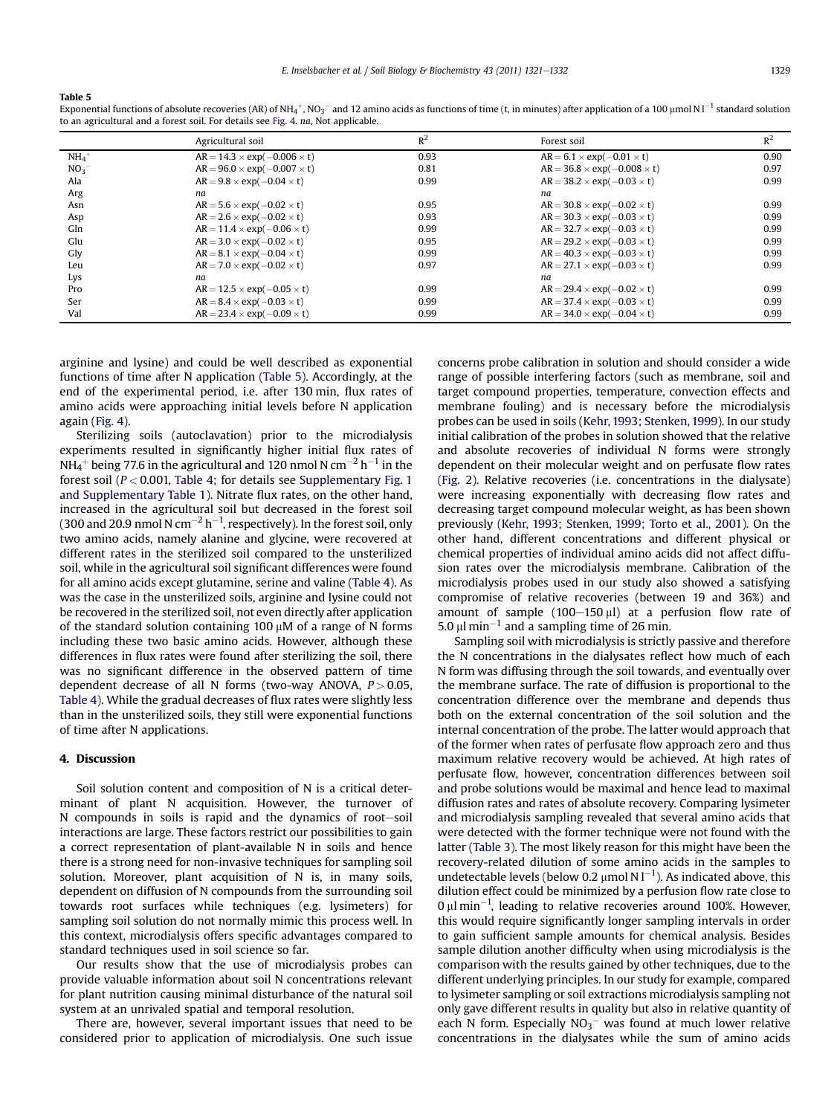#### <span id="page-8-0"></span>Table 5

Exponential functions of absolute recoveries (AR) of NH<sub>4</sub>+, NO<sub>3</sub>− and 12 amino acids as functions of time (t, in minutes) after application of a 100 µmol N l<sup>−1</sup> standard solution to an agricultural and a forest soil. For details see [Fig. 4](#page-6-0). na, Not applicable.

|                     | Agricultural soil                       | $R^2$ | Forest soil                             | $R^2$ |
|---------------------|-----------------------------------------|-------|-----------------------------------------|-------|
| $NH_4$ <sup>+</sup> | $AR = 14.3 \times exp(-0.006 \times t)$ | 0.93  | $AR = 6.1 \times exp(-0.01 \times t)$   | 0.90  |
| NO <sub>3</sub>     | $AR = 96.0 \times exp(-0.007 \times t)$ | 0.81  | $AR = 36.8 \times exp(-0.008 \times t)$ | 0.97  |
| Ala                 | $AR = 9.8 \times exp(-0.04 \times t)$   | 0.99  | $AR = 38.2 \times exp(-0.03 \times t)$  | 0.99  |
| Arg                 | na                                      |       | na                                      |       |
| Asn                 | $AR = 5.6 \times exp(-0.02 \times t)$   | 0.95  | $AR = 30.8 \times exp(-0.02 \times t)$  | 0.99  |
| Asp                 | $AR = 2.6 \times exp(-0.02 \times t)$   | 0.93  | $AR = 30.3 \times exp(-0.03 \times t)$  | 0.99  |
| Gln                 | $AR = 11.4 \times exp(-0.06 \times t)$  | 0.99  | $AR = 32.7 \times exp(-0.03 \times t)$  | 0.99  |
| Glu                 | $AR = 3.0 \times exp(-0.02 \times t)$   | 0.95  | $AR = 29.2 \times exp(-0.03 \times t)$  | 0.99  |
| Gly                 | $AR = 8.1 \times exp(-0.04 \times t)$   | 0.99  | $AR = 40.3 \times exp(-0.03 \times t)$  | 0.99  |
| Leu                 | $AR = 7.0 \times exp(-0.02 \times t)$   | 0.97  | $AR = 27.1 \times exp(-0.03 \times t)$  | 0.99  |
| Lys                 | na                                      |       | na                                      |       |
| Pro                 | $AR = 12.5 \times exp(-0.05 \times t)$  | 0.99  | $AR = 29.4 \times exp(-0.02 \times t)$  | 0.99  |
| Ser                 | $AR = 8.4 \times exp(-0.03 \times t)$   | 0.99  | $AR = 37.4 \times exp(-0.03 \times t)$  | 0.99  |
| Val                 | $AR = 23.4 \times exp(-0.09 \times t)$  | 0.99  | $AR = 34.0 \times exp(-0.04 \times t)$  | 0.99  |

arginine and lysine) and could be well described as exponential functions of time after N application (Table 5). Accordingly, at the end of the experimental period, i.e. after 130 min, flux rates of amino acids were approaching initial levels before N application again [\(Fig. 4](#page-6-0)).

Sterilizing soils (autoclavation) prior to the microdialysis experiments resulted in significantly higher initial flux rates of NH $_4^+$  being 77.6 in the agricultural and 120 nmol N cm $^{-2}$  h $^{-1}$  in the forest soil ( $P < 0.001$ , [Table 4;](#page-7-0) for details see Supplementary Fig. 1 and Supplementary Table 1). Nitrate flux rates, on the other hand, increased in the agricultural soil but decreased in the forest soil (300 and 20.9 nmol N cm $^{-2}$  h $^{-1}$ , respectively). In the forest soil, only two amino acids, namely alanine and glycine, were recovered at different rates in the sterilized soil compared to the unsterilized soil, while in the agricultural soil significant differences were found for all amino acids except glutamine, serine and valine ([Table 4\)](#page-7-0). As was the case in the unsterilized soils, arginine and lysine could not be recovered in the sterilized soil, not even directly after application of the standard solution containing 100  $\mu$ M of a range of N forms including these two basic amino acids. However, although these differences in flux rates were found after sterilizing the soil, there was no significant difference in the observed pattern of time dependent decrease of all N forms (two-way ANOVA,  $P > 0.05$ , [Table 4\)](#page-7-0). While the gradual decreases of flux rates were slightly less than in the unsterilized soils, they still were exponential functions of time after N applications.

## 4. Discussion

Soil solution content and composition of N is a critical determinant of plant N acquisition. However, the turnover of  $N$  compounds in soils is rapid and the dynamics of root-soil interactions are large. These factors restrict our possibilities to gain a correct representation of plant-available N in soils and hence there is a strong need for non-invasive techniques for sampling soil solution. Moreover, plant acquisition of N is, in many soils, dependent on diffusion of N compounds from the surrounding soil towards root surfaces while techniques (e.g. lysimeters) for sampling soil solution do not normally mimic this process well. In this context, microdialysis offers specific advantages compared to standard techniques used in soil science so far.

Our results show that the use of microdialysis probes can provide valuable information about soil N concentrations relevant for plant nutrition causing minimal disturbance of the natural soil system at an unrivaled spatial and temporal resolution.

There are, however, several important issues that need to be considered prior to application of microdialysis. One such issue concerns probe calibration in solution and should consider a wide range of possible interfering factors (such as membrane, soil and target compound properties, temperature, convection effects and membrane fouling) and is necessary before the microdialysis probes can be used in soils [\(Kehr, 1993; Stenken, 1999\)](#page-10-0). In our study initial calibration of the probes in solution showed that the relative and absolute recoveries of individual N forms were strongly dependent on their molecular weight and on perfusate flow rates ([Fig. 2](#page-3-0)). Relative recoveries (i.e. concentrations in the dialysate) were increasing exponentially with decreasing flow rates and decreasing target compound molecular weight, as has been shown previously [\(Kehr, 1993; Stenken, 1999; Torto et al., 2001](#page-10-0)). On the other hand, different concentrations and different physical or chemical properties of individual amino acids did not affect diffusion rates over the microdialysis membrane. Calibration of the microdialysis probes used in our study also showed a satisfying compromise of relative recoveries (between 19 and 36%) and amount of sample  $(100-150 \mu l)$  at a perfusion flow rate of 5.0  $\mu$ l min<sup>-1</sup> and a sampling time of 26 min.

Sampling soil with microdialysis is strictly passive and therefore the N concentrations in the dialysates reflect how much of each N form was diffusing through the soil towards, and eventually over the membrane surface. The rate of diffusion is proportional to the concentration difference over the membrane and depends thus both on the external concentration of the soil solution and the internal concentration of the probe. The latter would approach that of the former when rates of perfusate flow approach zero and thus maximum relative recovery would be achieved. At high rates of perfusate flow, however, concentration differences between soil and probe solutions would be maximal and hence lead to maximal diffusion rates and rates of absolute recovery. Comparing lysimeter and microdialysis sampling revealed that several amino acids that were detected with the former technique were not found with the latter ([Table 3](#page-5-0)). The most likely reason for this might have been the recovery-related dilution of some amino acids in the samples to undetectable levels (below 0.2  $\mu$ mol N l<sup>-1</sup>). As indicated above, this dilution effect could be minimized by a perfusion flow rate close to  $0 \,\mu$ l min<sup>-1</sup>, leading to relative recoveries around 100%. However, this would require significantly longer sampling intervals in order to gain sufficient sample amounts for chemical analysis. Besides sample dilution another difficulty when using microdialysis is the comparison with the results gained by other techniques, due to the different underlying principles. In our study for example, compared to lysimeter sampling or soil extractions microdialysis sampling not only gave different results in quality but also in relative quantity of each N form. Especially  $NO_3^-$  was found at much lower relative concentrations in the dialysates while the sum of amino acids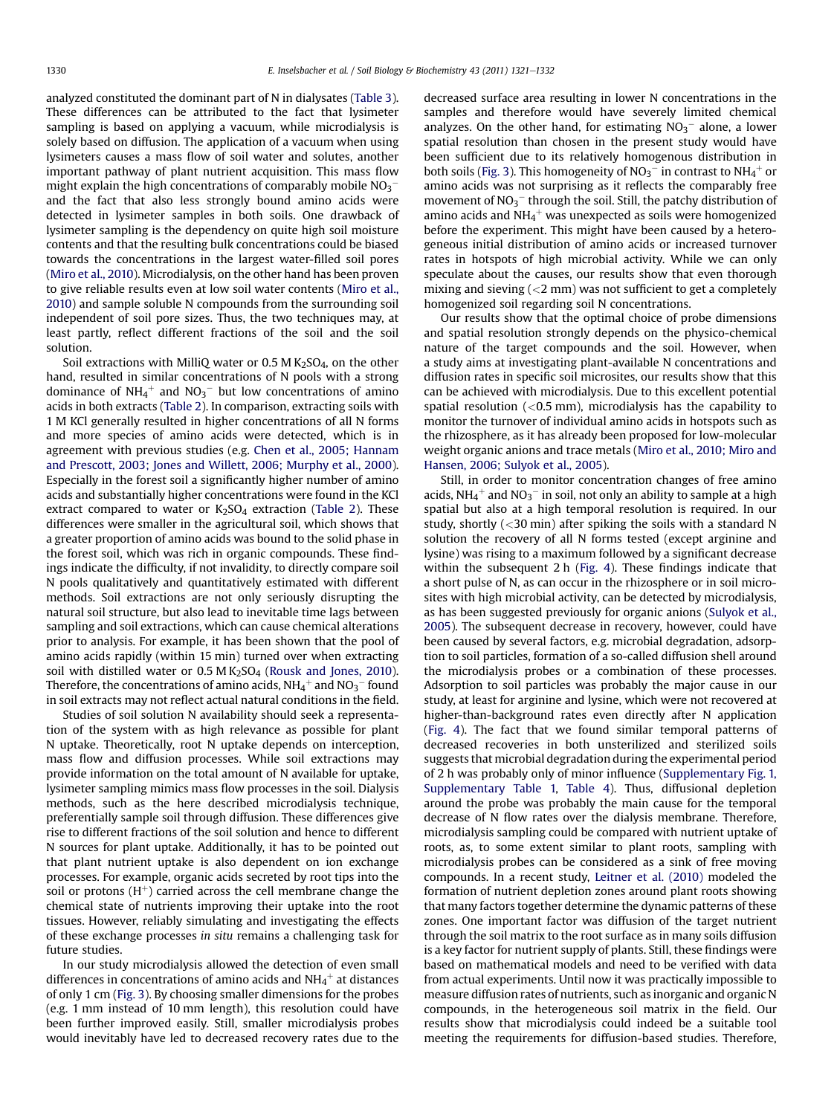analyzed constituted the dominant part of N in dialysates [\(Table 3\)](#page-5-0). These differences can be attributed to the fact that lysimeter sampling is based on applying a vacuum, while microdialysis is solely based on diffusion. The application of a vacuum when using lysimeters causes a mass flow of soil water and solutes, another important pathway of plant nutrient acquisition. This mass flow might explain the high concentrations of comparably mobile  $\mathrm{NO_3}^$ and the fact that also less strongly bound amino acids were detected in lysimeter samples in both soils. One drawback of lysimeter sampling is the dependency on quite high soil moisture contents and that the resulting bulk concentrations could be biased towards the concentrations in the largest water-filled soil pores ([Miro et al., 2010\)](#page-10-0). Microdialysis, on the other hand has been proven to give reliable results even at low soil water contents [\(Miro et al.,](#page-10-0) [2010](#page-10-0)) and sample soluble N compounds from the surrounding soil independent of soil pore sizes. Thus, the two techniques may, at least partly, reflect different fractions of the soil and the soil solution.

Soil extractions with MilliQ water or  $0.5$  M K<sub>2</sub>SO<sub>4</sub>, on the other hand, resulted in similar concentrations of N pools with a strong dominance of NH<sub>4</sub><sup>+</sup> and NO<sub>3</sub><sup>-</sup> but low concentrations of amino acids in both extracts ([Table 2](#page-4-0)). In comparison, extracting soils with 1 M KCl generally resulted in higher concentrations of all N forms and more species of amino acids were detected, which is in agreement with previous studies (e.g. [Chen et al., 2005; Hannam](#page-10-0) [and Prescott, 2003; Jones and Willett, 2006; Murphy et al., 2000\)](#page-10-0). Especially in the forest soil a significantly higher number of amino acids and substantially higher concentrations were found in the KCl extract compared to water or  $K<sub>2</sub>SO<sub>4</sub>$  extraction ([Table 2](#page-4-0)). These differences were smaller in the agricultural soil, which shows that a greater proportion of amino acids was bound to the solid phase in the forest soil, which was rich in organic compounds. These findings indicate the difficulty, if not invalidity, to directly compare soil N pools qualitatively and quantitatively estimated with different methods. Soil extractions are not only seriously disrupting the natural soil structure, but also lead to inevitable time lags between sampling and soil extractions, which can cause chemical alterations prior to analysis. For example, it has been shown that the pool of amino acids rapidly (within 15 min) turned over when extracting soil with distilled water or  $0.5 M K<sub>2</sub>SO<sub>4</sub>$  ([Rousk and Jones, 2010\)](#page-11-0). Therefore, the concentrations of amino acids, NH4 $^+$  and NO3 $^-$  found in soil extracts may not reflect actual natural conditions in the field.

Studies of soil solution N availability should seek a representation of the system with as high relevance as possible for plant N uptake. Theoretically, root N uptake depends on interception, mass flow and diffusion processes. While soil extractions may provide information on the total amount of N available for uptake, lysimeter sampling mimics mass flow processes in the soil. Dialysis methods, such as the here described microdialysis technique, preferentially sample soil through diffusion. These differences give rise to different fractions of the soil solution and hence to different N sources for plant uptake. Additionally, it has to be pointed out that plant nutrient uptake is also dependent on ion exchange processes. For example, organic acids secreted by root tips into the soil or protons  $(H^+)$  carried across the cell membrane change the chemical state of nutrients improving their uptake into the root tissues. However, reliably simulating and investigating the effects of these exchange processes in situ remains a challenging task for future studies.

In our study microdialysis allowed the detection of even small differences in concentrations of amino acids and NH $_4{}^+$  at distances of only 1 cm [\(Fig. 3](#page-5-0)). By choosing smaller dimensions for the probes (e.g. 1 mm instead of 10 mm length), this resolution could have been further improved easily. Still, smaller microdialysis probes would inevitably have led to decreased recovery rates due to the decreased surface area resulting in lower N concentrations in the samples and therefore would have severely limited chemical analyzes. On the other hand, for estimating  $NO<sub>3</sub><sup>-</sup>$  alone, a lower spatial resolution than chosen in the present study would have been sufficient due to its relatively homogenous distribution in both soils ([Fig. 3\)](#page-5-0). This homogeneity of  $\rm NO_3^-$  in contrast to  $\rm NH_4^+$  or amino acids was not surprising as it reflects the comparably free movement of  $NO_3^-$  through the soil. Still, the patchy distribution of amino acids and NH $_4^+$  was unexpected as soils were homogenized before the experiment. This might have been caused by a heterogeneous initial distribution of amino acids or increased turnover rates in hotspots of high microbial activity. While we can only speculate about the causes, our results show that even thorough mixing and sieving  $\left($  <2 mm) was not sufficient to get a completely homogenized soil regarding soil N concentrations.

Our results show that the optimal choice of probe dimensions and spatial resolution strongly depends on the physico-chemical nature of the target compounds and the soil. However, when a study aims at investigating plant-available N concentrations and diffusion rates in specific soil microsites, our results show that this can be achieved with microdialysis. Due to this excellent potential spatial resolution  $( $0.5 \text{ mm}$ ), microdialysis has the capability to$ monitor the turnover of individual amino acids in hotspots such as the rhizosphere, as it has already been proposed for low-molecular weight organic anions and trace metals ([Miro et al., 2010; Miro and](#page-10-0) [Hansen, 2006; Sulyok et al., 2005\)](#page-10-0).

Still, in order to monitor concentration changes of free amino acids, NH $_4{}^+$  and NO $_3{}^-$  in soil, not only an ability to sample at a high spatial but also at a high temporal resolution is required. In our study, shortly  $(<$ 30 min) after spiking the soils with a standard N solution the recovery of all N forms tested (except arginine and lysine) was rising to a maximum followed by a significant decrease within the subsequent 2 h ([Fig. 4](#page-6-0)). These findings indicate that a short pulse of N, as can occur in the rhizosphere or in soil microsites with high microbial activity, can be detected by microdialysis, as has been suggested previously for organic anions ([Sulyok et al.,](#page-11-0) [2005](#page-11-0)). The subsequent decrease in recovery, however, could have been caused by several factors, e.g. microbial degradation, adsorption to soil particles, formation of a so-called diffusion shell around the microdialysis probes or a combination of these processes. Adsorption to soil particles was probably the major cause in our study, at least for arginine and lysine, which were not recovered at higher-than-background rates even directly after N application ([Fig. 4\)](#page-6-0). The fact that we found similar temporal patterns of decreased recoveries in both unsterilized and sterilized soils suggests that microbial degradation during the experimental period of 2 h was probably only of minor influence (Supplementary Fig. 1, Supplementary Table 1, [Table 4\)](#page-7-0). Thus, diffusional depletion around the probe was probably the main cause for the temporal decrease of N flow rates over the dialysis membrane. Therefore, microdialysis sampling could be compared with nutrient uptake of roots, as, to some extent similar to plant roots, sampling with microdialysis probes can be considered as a sink of free moving compounds. In a recent study, [Leitner et al. \(2010\)](#page-10-0) modeled the formation of nutrient depletion zones around plant roots showing that many factors together determine the dynamic patterns of these zones. One important factor was diffusion of the target nutrient through the soil matrix to the root surface as in many soils diffusion is a key factor for nutrient supply of plants. Still, these findings were based on mathematical models and need to be verified with data from actual experiments. Until now it was practically impossible to measure diffusion rates of nutrients, such as inorganic and organic N compounds, in the heterogeneous soil matrix in the field. Our results show that microdialysis could indeed be a suitable tool meeting the requirements for diffusion-based studies. Therefore,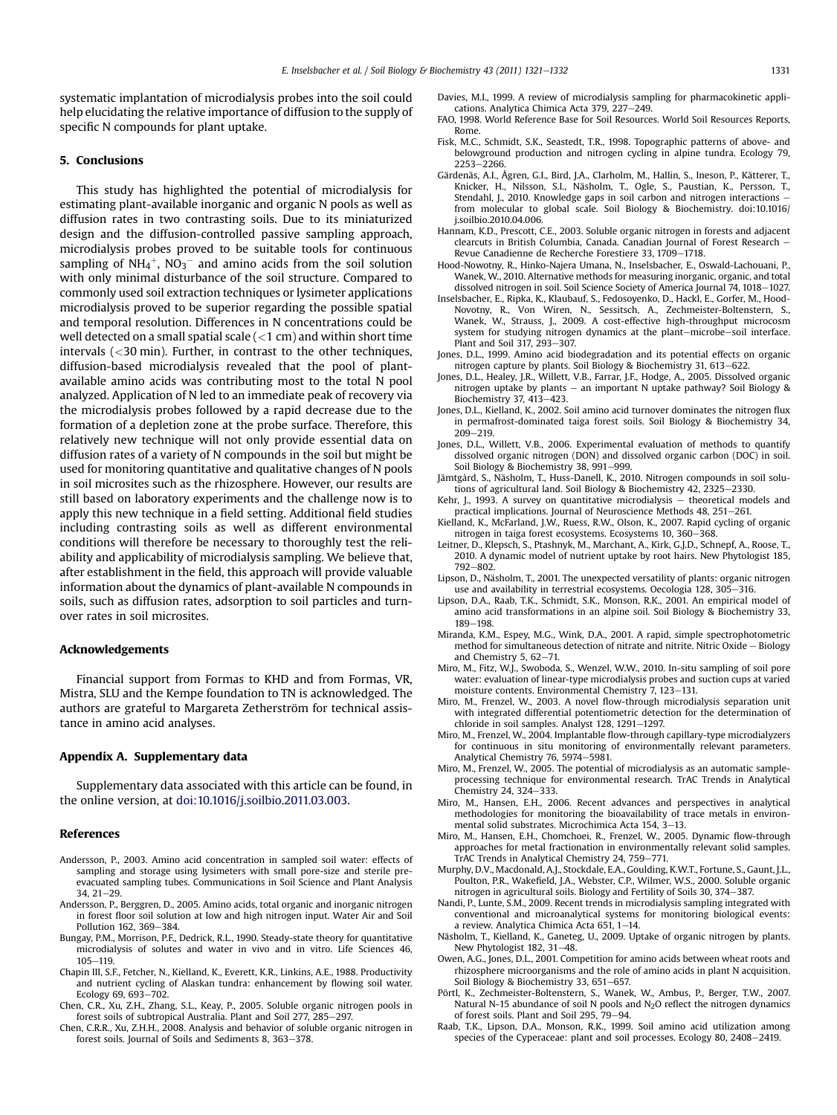<span id="page-10-0"></span>systematic implantation of microdialysis probes into the soil could help elucidating the relative importance of diffusion to the supply of specific N compounds for plant uptake.

#### 5. Conclusions

This study has highlighted the potential of microdialysis for estimating plant-available inorganic and organic N pools as well as diffusion rates in two contrasting soils. Due to its miniaturized design and the diffusion-controlled passive sampling approach, microdialysis probes proved to be suitable tools for continuous sampling of NH<sub>4</sub><sup>+</sup>, NO<sub>3</sub><sup>–</sup> and amino acids from the soil solution with only minimal disturbance of the soil structure. Compared to commonly used soil extraction techniques or lysimeter applications microdialysis proved to be superior regarding the possible spatial and temporal resolution. Differences in N concentrations could be well detected on a small spatial scale  $(<1$  cm) and within short time intervals (<30 min). Further, in contrast to the other techniques, diffusion-based microdialysis revealed that the pool of plantavailable amino acids was contributing most to the total N pool analyzed. Application of N led to an immediate peak of recovery via the microdialysis probes followed by a rapid decrease due to the formation of a depletion zone at the probe surface. Therefore, this relatively new technique will not only provide essential data on diffusion rates of a variety of N compounds in the soil but might be used for monitoring quantitative and qualitative changes of N pools in soil microsites such as the rhizosphere. However, our results are still based on laboratory experiments and the challenge now is to apply this new technique in a field setting. Additional field studies including contrasting soils as well as different environmental conditions will therefore be necessary to thoroughly test the reliability and applicability of microdialysis sampling. We believe that, after establishment in the field, this approach will provide valuable information about the dynamics of plant-available N compounds in soils, such as diffusion rates, adsorption to soil particles and turnover rates in soil microsites.

### Acknowledgements

Financial support from Formas to KHD and from Formas, VR, Mistra, SLU and the Kempe foundation to TN is acknowledged. The authors are grateful to Margareta Zetherström for technical assistance in amino acid analyses.

#### Appendix A. Supplementary data

Supplementary data associated with this article can be found, in the online version, at [doi:10.1016/j.soilbio.2011.03.003](http://dx.doi.org/10.1016/j.soilbio.2011.03.003).

#### References

- Andersson, P., 2003. Amino acid concentration in sampled soil water: effects of sampling and storage using lysimeters with small pore-size and sterile preevacuated sampling tubes. Communications in Soil Science and Plant Analysis  $34.21 - 29.$
- Andersson, P., Berggren, D., 2005. Amino acids, total organic and inorganic nitrogen in forest floor soil solution at low and high nitrogen input. Water Air and Soil Pollution 162, 369-384.
- Bungay, P.M., Morrison, P.F., Dedrick, R.L., 1990. Steady-state theory for quantitative microdialysis of solutes and water in vivo and in vitro. Life Sciences 46, 105-119
- Chapin III, S.F., Fetcher, N., Kielland, K., Everett, K.R., Linkins, A.E., 1988. Productivity and nutrient cycling of Alaskan tundra: enhancement by flowing soil water. Ecology 69, 693-702.
- Chen, C.R., Xu, Z.H., Zhang, S.L., Keay, P., 2005. Soluble organic nitrogen pools in forest soils of subtropical Australia. Plant and Soil 277, 285-297.
- Chen, C.R.R., Xu, Z.H.H., 2008. Analysis and behavior of soluble organic nitrogen in forest soils. Journal of Soils and Sediments 8, 363-378.
- Davies, M.I., 1999. A review of microdialysis sampling for pharmacokinetic applications. Analytica Chimica Acta 379, 227-249.
- FAO, 1998. World Reference Base for Soil Resources. World Soil Resources Reports, Rome.
- Fisk, M.C., Schmidt, S.K., Seastedt, T.R., 1998. Topographic patterns of above- and belowground production and nitrogen cycling in alpine tundra. Ecology 79,  $2253 - 2266$ .
- Gärdenäs, A.I., Ågren, G.I., Bird, J.A., Clarholm, M., Hallin, S., Ineson, P., Kätterer, T., Knicker, H., Nilsson, S.I., Näsholm, T., Ogle, S., Paustian, K., Persson, T., Stendahl, J., 2010. Knowledge gaps in soil carbon and nitrogen interactions from molecular to global scale. Soil Biology & Biochemistry. doi:10.1016/ j.soilbio.2010.04.006.
- Hannam, K.D., Prescott, C.E., 2003. Soluble organic nitrogen in forests and adjacent clearcuts in British Columbia. Canada. Canadian Journal of Forest Research  $-$ Revue Canadienne de Recherche Forestiere 33, 1709-1718.
- Hood-Nowotny, R., Hinko-Najera Umana, N., Inselsbacher, E., Oswald-Lachouani, P., Wanek, W., 2010. Alternative methods for measuring inorganic, organic, and total dissolved nitrogen in soil. Soil Science Society of America Journal 74, 1018-1027.
- Inselsbacher, E., Ripka, K., Klaubauf, S., Fedosoyenko, D., Hackl, E., Gorfer, M., Hood-Novotny, R., Von Wiren, N., Sessitsch, A., Zechmeister-Boltenstern, S., Wanek, W., Strauss, J., 2009. A cost-effective high-throughput microcosm system for studying nitrogen dynamics at the plant-microbe-soil interface. Plant and Soil 317, 293-307.
- Jones, D.L., 1999. Amino acid biodegradation and its potential effects on organic nitrogen capture by plants. Soil Biology & Biochemistry 31, 613-622.
- Jones, D.L., Healey, J.R., Willett, V.B., Farrar, J.F., Hodge, A., 2005. Dissolved organic nitrogen uptake by plants - an important N uptake pathway? Soil Biology & Biochemistry 37, 413-423.
- Jones, D.L., Kielland, K., 2002. Soil amino acid turnover dominates the nitrogen flux in permafrost-dominated taiga forest soils. Soil Biology & Biochemistry 34,  $209 - 219$
- Jones, D.L., Willett, V.B., 2006. Experimental evaluation of methods to quantify dissolved organic nitrogen (DON) and dissolved organic carbon (DOC) in soil. Soil Biology & Biochemistry 38, 991-999.
- Jämtgård, S., Näsholm, T., Huss-Danell, K., 2010. Nitrogen compounds in soil solutions of agricultural land. Soil Biology & Biochemistry 42, 2325-2330.
- Kehr, J., 1993. A survey on quantitative microdialysis  $-$  theoretical models and practical implications. Journal of Neuroscience Methods 48, 251-261.
- Kielland, K., McFarland, J.W., Ruess, R.W., Olson, K., 2007. Rapid cycling of organic nitrogen in taiga forest ecosystems. Ecosystems 10, 360-368.
- Leitner, D., Klepsch, S., Ptashnyk, M., Marchant, A., Kirk, G.J.D., Schnepf, A., Roose, T., 2010. A dynamic model of nutrient uptake by root hairs. New Phytologist 185, 792-802.
- Lipson, D., Näsholm, T., 2001. The unexpected versatility of plants: organic nitrogen use and availability in terrestrial ecosystems. Oecologia 128, 305-316.
- Lipson, D.A., Raab, T.K., Schmidt, S.K., Monson, R.K., 2001. An empirical model of amino acid transformations in an alpine soil. Soil Biology & Biochemistry 33, 189-198
- Miranda, K.M., Espey, M.G., Wink, D.A., 2001. A rapid, simple spectrophotometric method for simultaneous detection of nitrate and nitrite. Nitric Oxide  $-$  Biology and Chemistry 5,  $62-71$ .
- Miro, M., Fitz, W.J., Swoboda, S., Wenzel, W.W., 2010. In-situ sampling of soil pore water: evaluation of linear-type microdialysis probes and suction cups at varied moisture contents. Environmental Chemistry 7, 123-131.
- Miro, M., Frenzel, W., 2003. A novel flow-through microdialysis separation unit with integrated differential potentiometric detection for the determination of chloride in soil samples. Analyst 128, 1291-1297.
- Miro, M., Frenzel, W., 2004. Implantable flow-through capillary-type microdialyzers for continuous in situ monitoring of environmentally relevant parameters. Analytical Chemistry 76, 5974-5981.
- Miro, M., Frenzel, W., 2005. The potential of microdialysis as an automatic sampleprocessing technique for environmental research. TrAC Trends in Analytical Chemistry 24, 324-333.
- Miro, M., Hansen, E.H., 2006. Recent advances and perspectives in analytical methodologies for monitoring the bioavailability of trace metals in environmental solid substrates. Microchimica Acta 154, 3-13.
- Miro, M., Hansen, E.H., Chomchoei, R., Frenzel, W., 2005. Dynamic flow-through approaches for metal fractionation in environmentally relevant solid samples. TrAC Trends in Analytical Chemistry 24, 759-771.
- Murphy, D.V., Macdonald, A.J., Stockdale, E.A., Goulding, K.W.T., Fortune, S., Gaunt, J.L., Poulton, P.R., Wakefield, J.A., Webster, C.P., Wilmer, W.S., 2000. Soluble organic nitrogen in agricultural soils. Biology and Fertility of Soils 30, 374-387.
- Nandi, P., Lunte, S.M., 2009. Recent trends in microdialysis sampling integrated with conventional and microanalytical systems for monitoring biological events: a review. Analytica Chimica Acta 651,  $1-14$ .
- Näsholm, T., Kielland, K., Ganeteg, U., 2009. Uptake of organic nitrogen by plants. New Phytologist 182, 31-48.
- Owen, A.G., Jones, D.L., 2001. Competition for amino acids between wheat roots and rhizosphere microorganisms and the role of amino acids in plant N acquisition. Soil Biology & Biochemistry 33, 651-657.
- Pörtl, K., Zechmeister-Boltenstern, S., Wanek, W., Ambus, P., Berger, T.W., 2007. Natural N-15 abundance of soil N pools and N<sub>2</sub>O reflect the nitrogen dynamics of forest soils. Plant and Soil  $295, 79-94$ .
- Raab, T.K., Lipson, D.A., Monson, R.K., 1999. Soil amino acid utilization among species of the Cyperaceae: plant and soil processes. Ecology 80, 2408–2419.